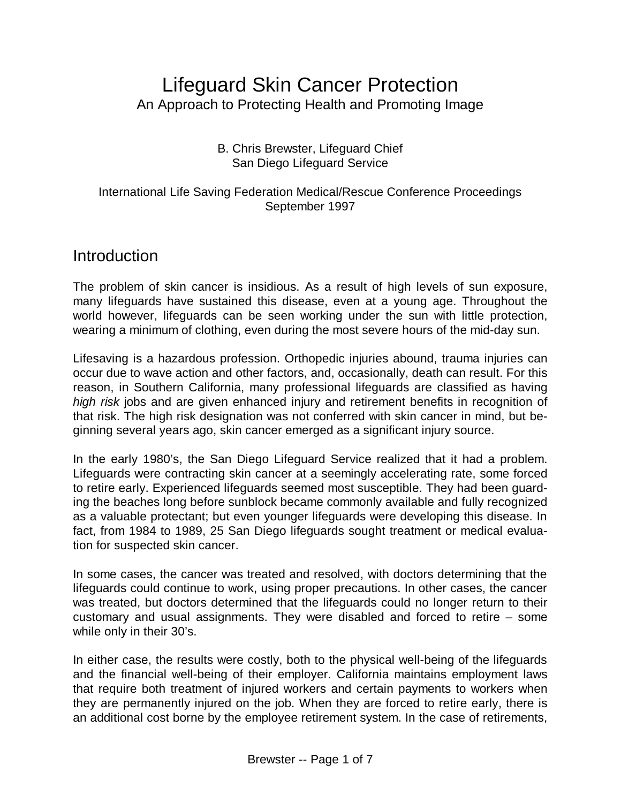# Lifeguard Skin Cancer Protection An Approach to Protecting Health and Promoting Image

#### B. Chris Brewster, Lifeguard Chief San Diego Lifeguard Service

#### International Life Saving Federation Medical/Rescue Conference Proceedings September 1997

### Introduction

The problem of skin cancer is insidious. As a result of high levels of sun exposure, many lifeguards have sustained this disease, even at a young age. Throughout the world however, lifeguards can be seen working under the sun with little protection, wearing a minimum of clothing, even during the most severe hours of the mid-day sun.

Lifesaving is a hazardous profession. Orthopedic injuries abound, trauma injuries can occur due to wave action and other factors, and, occasionally, death can result. For this reason, in Southern California, many professional lifeguards are classified as having *high risk* jobs and are given enhanced injury and retirement benefits in recognition of that risk. The high risk designation was not conferred with skin cancer in mind, but beginning several years ago, skin cancer emerged as a significant injury source.

In the early 1980's, the San Diego Lifeguard Service realized that it had a problem. Lifeguards were contracting skin cancer at a seemingly accelerating rate, some forced to retire early. Experienced lifeguards seemed most susceptible. They had been guarding the beaches long before sunblock became commonly available and fully recognized as a valuable protectant; but even younger lifeguards were developing this disease. In fact, from 1984 to 1989, 25 San Diego lifeguards sought treatment or medical evaluation for suspected skin cancer.

In some cases, the cancer was treated and resolved, with doctors determining that the lifeguards could continue to work, using proper precautions. In other cases, the cancer was treated, but doctors determined that the lifeguards could no longer return to their customary and usual assignments. They were disabled and forced to retire – some while only in their 30's.

In either case, the results were costly, both to the physical well-being of the lifeguards and the financial well-being of their employer. California maintains employment laws that require both treatment of injured workers and certain payments to workers when they are permanently injured on the job. When they are forced to retire early, there is an additional cost borne by the employee retirement system. In the case of retirements,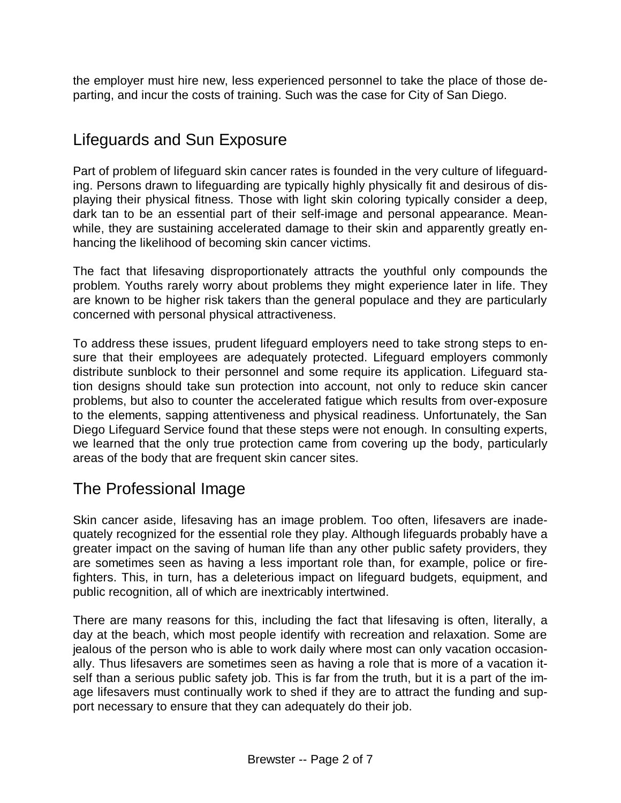the employer must hire new, less experienced personnel to take the place of those departing, and incur the costs of training. Such was the case for City of San Diego.

# Lifeguards and Sun Exposure

Part of problem of lifeguard skin cancer rates is founded in the very culture of lifeguarding. Persons drawn to lifeguarding are typically highly physically fit and desirous of displaying their physical fitness. Those with light skin coloring typically consider a deep, dark tan to be an essential part of their self-image and personal appearance. Meanwhile, they are sustaining accelerated damage to their skin and apparently greatly enhancing the likelihood of becoming skin cancer victims.

The fact that lifesaving disproportionately attracts the youthful only compounds the problem. Youths rarely worry about problems they might experience later in life. They are known to be higher risk takers than the general populace and they are particularly concerned with personal physical attractiveness.

To address these issues, prudent lifeguard employers need to take strong steps to ensure that their employees are adequately protected. Lifeguard employers commonly distribute sunblock to their personnel and some require its application. Lifeguard station designs should take sun protection into account, not only to reduce skin cancer problems, but also to counter the accelerated fatigue which results from over-exposure to the elements, sapping attentiveness and physical readiness. Unfortunately, the San Diego Lifeguard Service found that these steps were not enough. In consulting experts, we learned that the only true protection came from covering up the body, particularly areas of the body that are frequent skin cancer sites.

### The Professional Image

Skin cancer aside, lifesaving has an image problem. Too often, lifesavers are inadequately recognized for the essential role they play. Although lifeguards probably have a greater impact on the saving of human life than any other public safety providers, they are sometimes seen as having a less important role than, for example, police or firefighters. This, in turn, has a deleterious impact on lifeguard budgets, equipment, and public recognition, all of which are inextricably intertwined.

There are many reasons for this, including the fact that lifesaving is often, literally, a day at the beach, which most people identify with recreation and relaxation. Some are jealous of the person who is able to work daily where most can only vacation occasionally. Thus lifesavers are sometimes seen as having a role that is more of a vacation itself than a serious public safety job. This is far from the truth, but it is a part of the image lifesavers must continually work to shed if they are to attract the funding and support necessary to ensure that they can adequately do their job.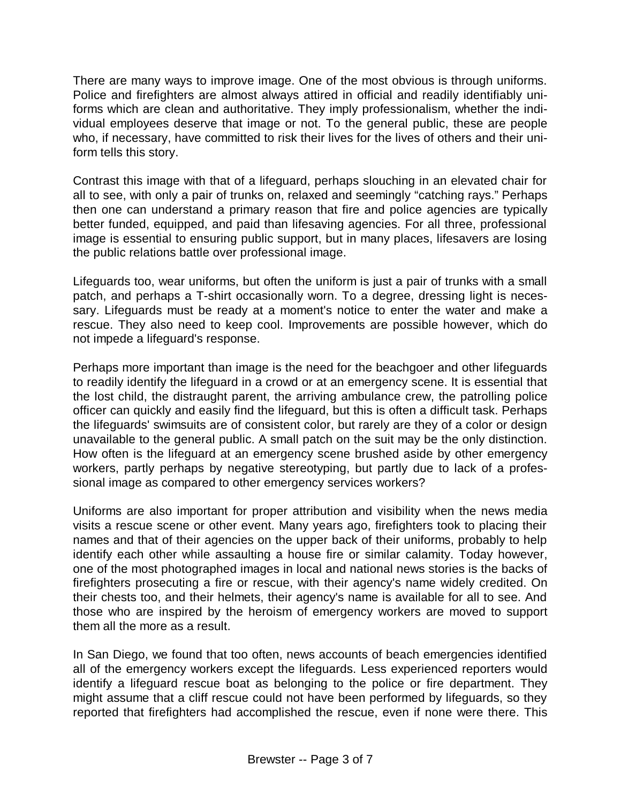There are many ways to improve image. One of the most obvious is through uniforms. Police and firefighters are almost always attired in official and readily identifiably uniforms which are clean and authoritative. They imply professionalism, whether the individual employees deserve that image or not. To the general public, these are people who, if necessary, have committed to risk their lives for the lives of others and their uniform tells this story.

Contrast this image with that of a lifeguard, perhaps slouching in an elevated chair for all to see, with only a pair of trunks on, relaxed and seemingly "catching rays." Perhaps then one can understand a primary reason that fire and police agencies are typically better funded, equipped, and paid than lifesaving agencies. For all three, professional image is essential to ensuring public support, but in many places, lifesavers are losing the public relations battle over professional image.

Lifeguards too, wear uniforms, but often the uniform is just a pair of trunks with a small patch, and perhaps a T-shirt occasionally worn. To a degree, dressing light is necessary. Lifeguards must be ready at a moment's notice to enter the water and make a rescue. They also need to keep cool. Improvements are possible however, which do not impede a lifeguard's response.

Perhaps more important than image is the need for the beachgoer and other lifeguards to readily identify the lifeguard in a crowd or at an emergency scene. It is essential that the lost child, the distraught parent, the arriving ambulance crew, the patrolling police officer can quickly and easily find the lifeguard, but this is often a difficult task. Perhaps the lifeguards' swimsuits are of consistent color, but rarely are they of a color or design unavailable to the general public. A small patch on the suit may be the only distinction. How often is the lifeguard at an emergency scene brushed aside by other emergency workers, partly perhaps by negative stereotyping, but partly due to lack of a professional image as compared to other emergency services workers?

Uniforms are also important for proper attribution and visibility when the news media visits a rescue scene or other event. Many years ago, firefighters took to placing their names and that of their agencies on the upper back of their uniforms, probably to help identify each other while assaulting a house fire or similar calamity. Today however, one of the most photographed images in local and national news stories is the backs of firefighters prosecuting a fire or rescue, with their agency's name widely credited. On their chests too, and their helmets, their agency's name is available for all to see. And those who are inspired by the heroism of emergency workers are moved to support them all the more as a result.

In San Diego, we found that too often, news accounts of beach emergencies identified all of the emergency workers except the lifeguards. Less experienced reporters would identify a lifeguard rescue boat as belonging to the police or fire department. They might assume that a cliff rescue could not have been performed by lifeguards, so they reported that firefighters had accomplished the rescue, even if none were there. This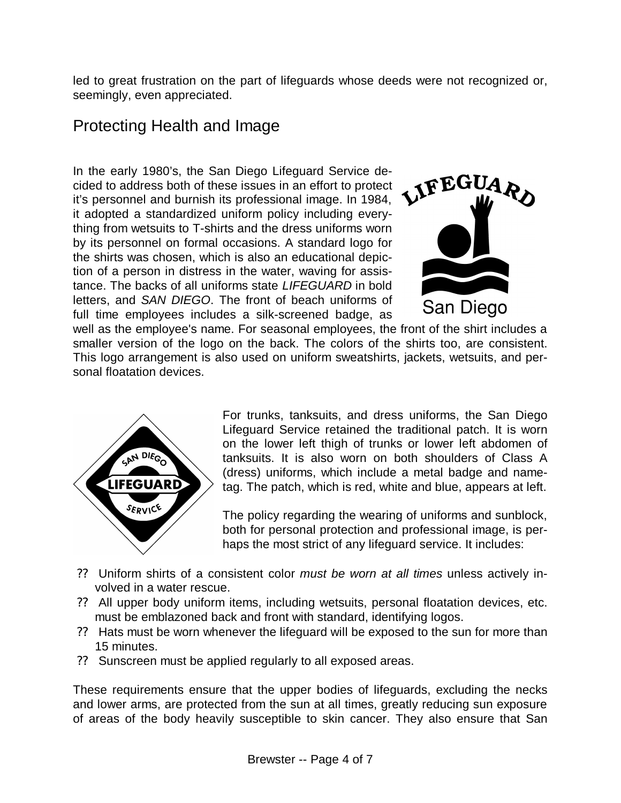led to great frustration on the part of lifeguards whose deeds were not recognized or, seemingly, even appreciated.

# Protecting Health and Image

In the early 1980's, the San Diego Lifeguard Service decided to address both of these issues in an effort to protect it's personnel and burnish its professional image. In 1984, it adopted a standardized uniform policy including everything from wetsuits to T-shirts and the dress uniforms worn by its personnel on formal occasions. A standard logo for the shirts was chosen, which is also an educational depiction of a person in distress in the water, waving for assistance. The backs of all uniforms state *LIFEGUARD* in bold letters, and *SAN DIEGO*. The front of beach uniforms of full time employees includes a silk-screened badge, as



well as the employee's name. For seasonal employees, the front of the shirt includes a smaller version of the logo on the back. The colors of the shirts too, are consistent. This logo arrangement is also used on uniform sweatshirts, jackets, wetsuits, and personal floatation devices.



For trunks, tanksuits, and dress uniforms, the San Diego Lifeguard Service retained the traditional patch. It is worn on the lower left thigh of trunks or lower left abdomen of tanksuits. It is also worn on both shoulders of Class A (dress) uniforms, which include a metal badge and nametag. The patch, which is red, white and blue, appears at left.

The policy regarding the wearing of uniforms and sunblock, both for personal protection and professional image, is perhaps the most strict of any lifeguard service. It includes:

- ?? Uniform shirts of a consistent color *must be worn at all times* unless actively involved in a water rescue.
- ?? All upper body uniform items, including wetsuits, personal floatation devices, etc. must be emblazoned back and front with standard, identifying logos.
- ?? Hats must be worn whenever the lifeguard will be exposed to the sun for more than 15 minutes.
- ?? Sunscreen must be applied regularly to all exposed areas.

These requirements ensure that the upper bodies of lifeguards, excluding the necks and lower arms, are protected from the sun at all times, greatly reducing sun exposure of areas of the body heavily susceptible to skin cancer. They also ensure that San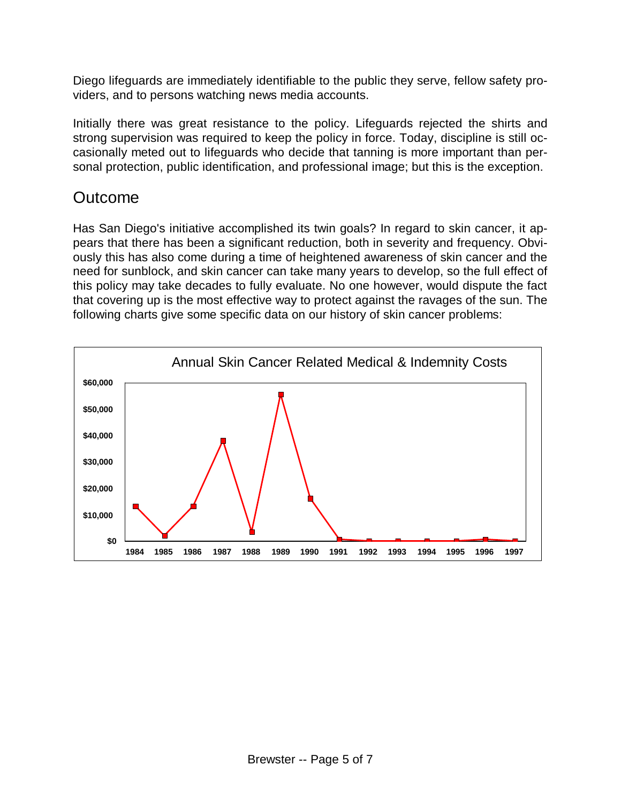Diego lifeguards are immediately identifiable to the public they serve, fellow safety providers, and to persons watching news media accounts.

Initially there was great resistance to the policy. Lifeguards rejected the shirts and strong supervision was required to keep the policy in force. Today, discipline is still occasionally meted out to lifeguards who decide that tanning is more important than personal protection, public identification, and professional image; but this is the exception.

# Outcome

Has San Diego's initiative accomplished its twin goals? In regard to skin cancer, it appears that there has been a significant reduction, both in severity and frequency. Obviously this has also come during a time of heightened awareness of skin cancer and the need for sunblock, and skin cancer can take many years to develop, so the full effect of this policy may take decades to fully evaluate. No one however, would dispute the fact that covering up is the most effective way to protect against the ravages of the sun. The following charts give some specific data on our history of skin cancer problems:

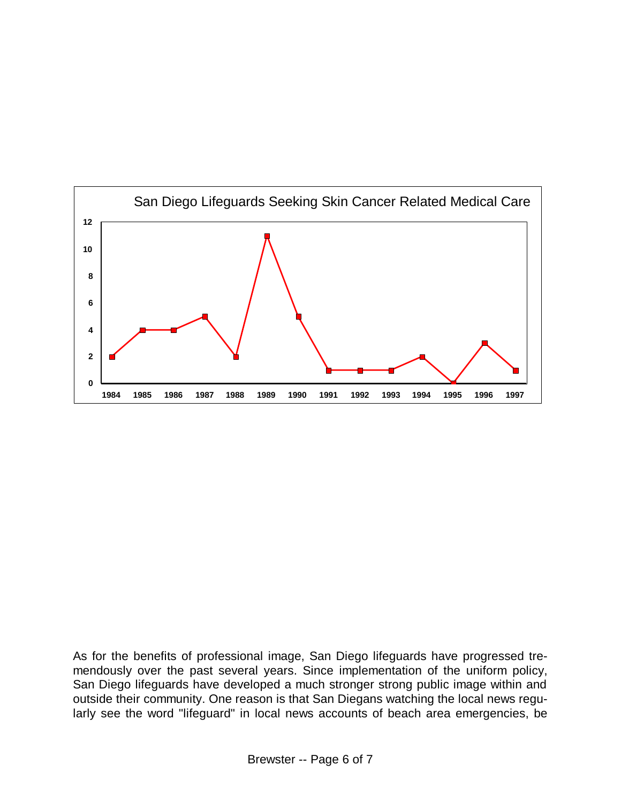

As for the benefits of professional image, San Diego lifeguards have progressed tremendously over the past several years. Since implementation of the uniform policy, San Diego lifeguards have developed a much stronger strong public image within and outside their community. One reason is that San Diegans watching the local news regularly see the word "lifeguard" in local news accounts of beach area emergencies, be